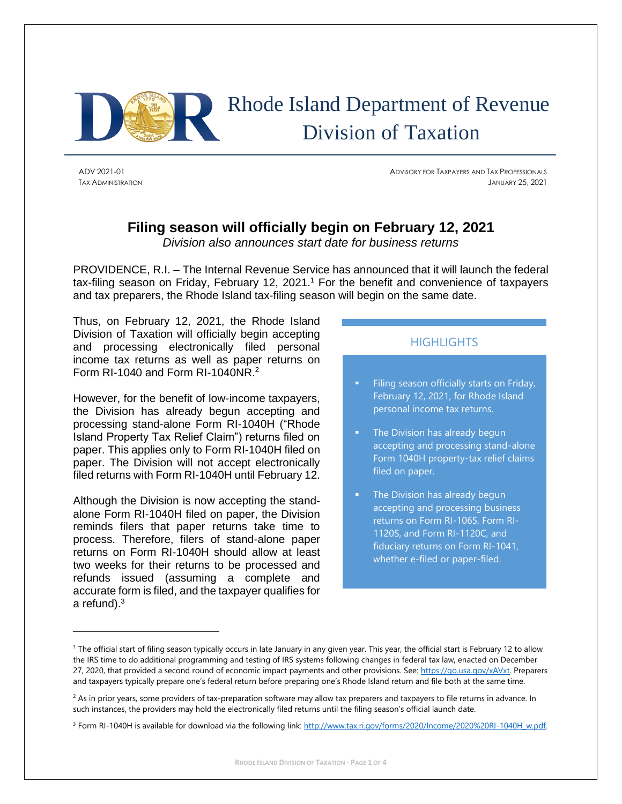

 Rhode Island Department of Revenue Division of Taxation

ADV 2021-01 ADVISORY FOR TAXPAYERS AND TAX PROFESSIONALS TAX ADMINISTRATION JANUARY 25, 2021

# **Filing season will officially begin on February 12, 2021**

*Division also announces start date for business returns*

PROVIDENCE, R.I. – The Internal Revenue Service has announced that it will launch the federal tax-filing season on Friday, February 12, 2021. <sup>1</sup> For the benefit and convenience of taxpayers and tax preparers, the Rhode Island tax-filing season will begin on the same date.

Thus, on February 12, 2021, the Rhode Island Division of Taxation will officially begin accepting and processing electronically filed personal income tax returns as well as paper returns on Form RI-1040 and Form RI-1040NR.<sup>2</sup>

However, for the benefit of low-income taxpayers, the Division has already begun accepting and processing stand-alone Form RI-1040H ("Rhode Island Property Tax Relief Claim") returns filed on paper. This applies only to Form RI-1040H filed on paper. The Division will not accept electronically filed returns with Form RI-1040H until February 12.

Although the Division is now accepting the standalone Form RI-1040H filed on paper, the Division reminds filers that paper returns take time to process. Therefore, filers of stand-alone paper returns on Form RI-1040H should allow at least two weeks for their returns to be processed and refunds issued (assuming a complete and accurate form is filed, and the taxpayer qualifies for a refund).<sup>3</sup>

## **HIGHLIGHTS**

- Filing season officially starts on Friday, February 12, 2021, for Rhode Island personal income tax returns.
- The Division has already begun accepting and processing stand-alone Form 1040H property-tax relief claims filed on paper.
- The Division has already begun accepting and processing business returns on Form RI-1065, Form RI-1120S, and Form RI-1120C, and fiduciary returns on Form RI-1041, whether e-filed or paper-filed.

<sup>&</sup>lt;sup>1</sup> The official start of filing season typically occurs in late January in any given year. This year, the official start is February 12 to allow the IRS time to do additional programming and testing of IRS systems following changes in federal tax law, enacted on December 27, 2020, that provided a second round of economic impact payments and other provisions. See[: https://go.usa.gov/xAVxt.](https://go.usa.gov/xAVxt) Preparers and taxpayers typically prepare one's federal return before preparing one's Rhode Island return and file both at the same time.

 $2$  As in prior years, some providers of tax-preparation software may allow tax preparers and taxpayers to file returns in advance. In such instances, the providers may hold the electronically filed returns until the filing season's official launch date.

<sup>&</sup>lt;sup>3</sup> Form RI-1040H is available for download via the following link[: http://www.tax.ri.gov/forms/2020/Income/2020%20RI-1040H\\_w.pdf.](http://www.tax.ri.gov/forms/2020/Income/2020%20RI-1040H_w.pdf)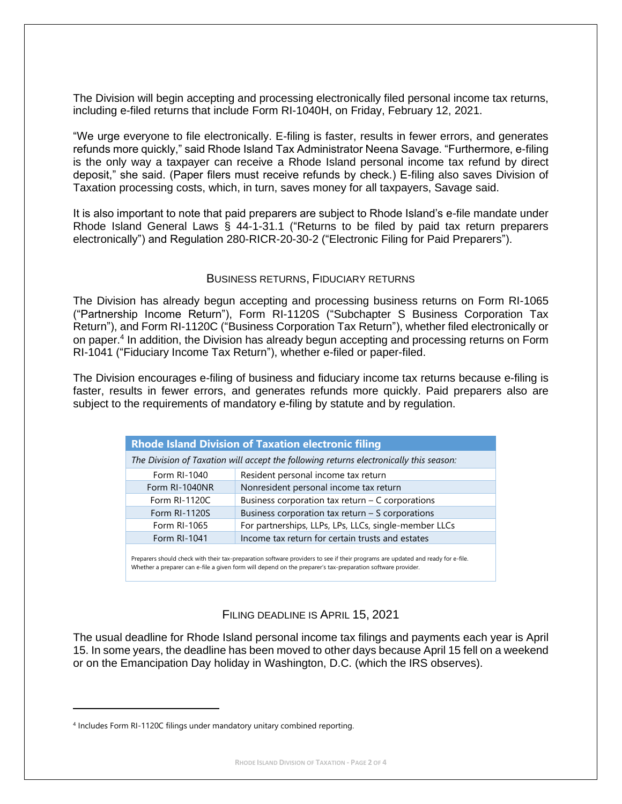The Division will begin accepting and processing electronically filed personal income tax returns, including e-filed returns that include Form RI-1040H, on Friday, February 12, 2021.

"We urge everyone to file electronically. E-filing is faster, results in fewer errors, and generates refunds more quickly," said Rhode Island Tax Administrator Neena Savage. "Furthermore, e-filing is the only way a taxpayer can receive a Rhode Island personal income tax refund by direct deposit," she said. (Paper filers must receive refunds by check.) E-filing also saves Division of Taxation processing costs, which, in turn, saves money for all taxpayers, Savage said.

It is also important to note that paid preparers are subject to Rhode Island's e-file mandate under Rhode Island General Laws § 44-1-31.1 ("Returns to be filed by paid tax return preparers electronically") and Regulation 280-RICR-20-30-2 ("Electronic Filing for Paid Preparers").

#### BUSINESS RETURNS, FIDUCIARY RETURNS

The Division has already begun accepting and processing business returns on Form RI-1065 ("Partnership Income Return"), Form RI-1120S ("Subchapter S Business Corporation Tax Return"), and Form RI-1120C ("Business Corporation Tax Return"), whether filed electronically or on paper.<sup>4</sup> In addition, the Division has already begun accepting and processing returns on Form RI-1041 ("Fiduciary Income Tax Return"), whether e-filed or paper-filed.

The Division encourages e-filing of business and fiduciary income tax returns because e-filing is faster, results in fewer errors, and generates refunds more quickly. Paid preparers also are subject to the requirements of mandatory e-filing by statute and by regulation.

| <b>Rhode Island Division of Taxation electronic filing</b>                             |                                                       |  |  |
|----------------------------------------------------------------------------------------|-------------------------------------------------------|--|--|
| The Division of Taxation will accept the following returns electronically this season: |                                                       |  |  |
| Form RI-1040                                                                           | Resident personal income tax return                   |  |  |
| Form RI-1040NR                                                                         | Nonresident personal income tax return                |  |  |
| Form RI-1120C                                                                          | Business corporation tax return $-$ C corporations    |  |  |
| Form RI-1120S                                                                          | Business corporation tax return - S corporations      |  |  |
| Form RI-1065                                                                           | For partnerships, LLPs, LPs, LLCs, single-member LLCs |  |  |
| Form RI-1041                                                                           | Income tax return for certain trusts and estates      |  |  |

Preparers should check with their tax-preparation software providers to see if their programs are updated and ready for e-file. Whether a preparer can e-file a given form will depend on the preparer's tax-preparation software provider.

## FILING DEADLINE IS APRIL 15, 2021

The usual deadline for Rhode Island personal income tax filings and payments each year is April 15. In some years, the deadline has been moved to other days because April 15 fell on a weekend or on the Emancipation Day holiday in Washington, D.C. (which the IRS observes).

<sup>&</sup>lt;sup>4</sup> Includes Form RI-1120C filings under mandatory unitary combined reporting.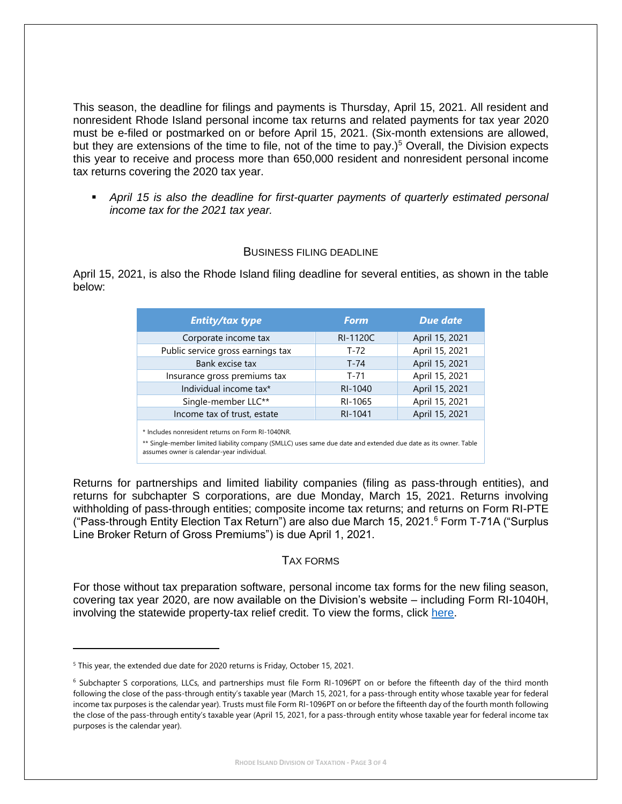This season, the deadline for filings and payments is Thursday, April 15, 2021. All resident and nonresident Rhode Island personal income tax returns and related payments for tax year 2020 must be e-filed or postmarked on or before April 15, 2021. (Six-month extensions are allowed, but they are extensions of the time to file, not of the time to pay.)<sup>5</sup> Overall, the Division expects this year to receive and process more than 650,000 resident and nonresident personal income tax returns covering the 2020 tax year.

**•** April 15 is also the deadline for first-quarter payments of quarterly estimated personal *income tax for the 2021 tax year.*

### BUSINESS FILING DEADLINE

April 15, 2021, is also the Rhode Island filing deadline for several entities, as shown in the table below:

| <b>Entity/tax type</b>                                                                                                                                                                                             | <b>Form</b> | <b>Due date</b> |  |
|--------------------------------------------------------------------------------------------------------------------------------------------------------------------------------------------------------------------|-------------|-----------------|--|
| Corporate income tax                                                                                                                                                                                               | RI-1120C    | April 15, 2021  |  |
| Public service gross earnings tax                                                                                                                                                                                  | $T-72$      | April 15, 2021  |  |
| Bank excise tax                                                                                                                                                                                                    | $T-74$      | April 15, 2021  |  |
| Insurance gross premiums tax                                                                                                                                                                                       | $T - 71$    | April 15, 2021  |  |
| Individual income tax*                                                                                                                                                                                             | RI-1040     | April 15, 2021  |  |
| Single-member LLC**                                                                                                                                                                                                | RI-1065     | April 15, 2021  |  |
| Income tax of trust, estate                                                                                                                                                                                        | RI-1041     | April 15, 2021  |  |
| * Includes nonresident returns on Form RI-1040NR.<br>** Single-member limited liability company (SMLLC) uses same due date and extended due date as its owner. Table<br>assumes owner is calendar-year individual. |             |                 |  |

Returns for partnerships and limited liability companies (filing as pass-through entities), and returns for subchapter S corporations, are due Monday, March 15, 2021. Returns involving withholding of pass-through entities; composite income tax returns; and returns on Form RI-PTE ("Pass-through Entity Election Tax Return") are also due March 15, 2021. $6$  Form T-71A ("Surplus Line Broker Return of Gross Premiums") is due April 1, 2021.

## TAX FORMS

For those without tax preparation software, personal income tax forms for the new filing season, covering tax year 2020, are now available on the Division's website – including Form RI-1040H, involving the statewide property-tax relief credit. To view the forms, click [here.](http://www.tax.ri.gov/taxforms/personal.php)

<sup>&</sup>lt;sup>5</sup> This year, the extended due date for 2020 returns is Friday, October 15, 2021.

<sup>6</sup> Subchapter S corporations, LLCs, and partnerships must file Form RI-1096PT on or before the fifteenth day of the third month following the close of the pass-through entity's taxable year (March 15, 2021, for a pass-through entity whose taxable year for federal income tax purposes is the calendar year). Trusts must file Form RI-1096PT on or before the fifteenth day of the fourth month following the close of the pass-through entity's taxable year (April 15, 2021, for a pass-through entity whose taxable year for federal income tax purposes is the calendar year).